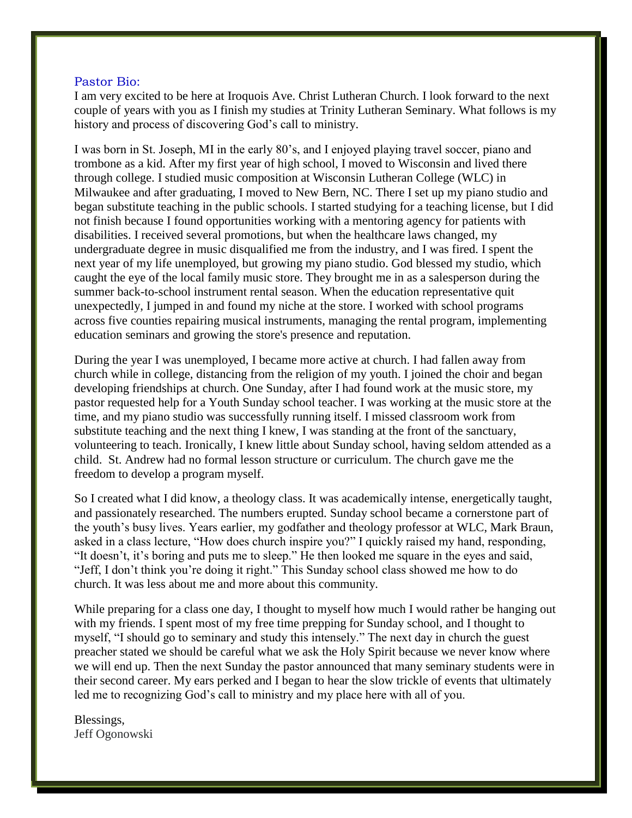#### Pastor Bio:

I am very excited to be here at Iroquois Ave. Christ Lutheran Church. I look forward to the next couple of years with you as I finish my studies at Trinity Lutheran Seminary. What follows is my history and process of discovering God's call to ministry.

I was born in St. Joseph, MI in the early 80's, and I enjoyed playing travel soccer, piano and trombone as a kid. After my first year of high school, I moved to Wisconsin and lived there through college. I studied music composition at Wisconsin Lutheran College (WLC) in Milwaukee and after graduating, I moved to New Bern, NC. There I set up my piano studio and began substitute teaching in the public schools. I started studying for a teaching license, but I did not finish because I found opportunities working with a mentoring agency for patients with disabilities. I received several promotions, but when the healthcare laws changed, my undergraduate degree in music disqualified me from the industry, and I was fired. I spent the next year of my life unemployed, but growing my piano studio. God blessed my studio, which caught the eye of the local family music store. They brought me in as a salesperson during the summer back-to-school instrument rental season. When the education representative quit unexpectedly, I jumped in and found my niche at the store. I worked with school programs across five counties repairing musical instruments, managing the rental program, implementing education seminars and growing the store's presence and reputation.

During the year I was unemployed, I became more active at church. I had fallen away from church while in college, distancing from the religion of my youth. I joined the choir and began developing friendships at church. One Sunday, after I had found work at the music store, my pastor requested help for a Youth Sunday school teacher. I was working at the music store at the time, and my piano studio was successfully running itself. I missed classroom work from substitute teaching and the next thing I knew, I was standing at the front of the sanctuary, volunteering to teach. Ironically, I knew little about Sunday school, having seldom attended as a child. St. Andrew had no formal lesson structure or curriculum. The church gave me the freedom to develop a program myself.

So I created what I did know, a theology class. It was academically intense, energetically taught, and passionately researched. The numbers erupted. Sunday school became a cornerstone part of the youth's busy lives. Years earlier, my godfather and theology professor at WLC, Mark Braun, asked in a class lecture, "How does church inspire you?" I quickly raised my hand, responding, "It doesn't, it's boring and puts me to sleep." He then looked me square in the eyes and said, "Jeff, I don't think you're doing it right." This Sunday school class showed me how to do church. It was less about me and more about this community.

While preparing for a class one day, I thought to myself how much I would rather be hanging out with my friends. I spent most of my free time prepping for Sunday school, and I thought to myself, "I should go to seminary and study this intensely." The next day in church the guest preacher stated we should be careful what we ask the Holy Spirit because we never know where we will end up. Then the next Sunday the pastor announced that many seminary students were in their second career. My ears perked and I began to hear the slow trickle of events that ultimately led me to recognizing God's call to ministry and my place here with all of you.

Blessings, Jeff Ogonowski